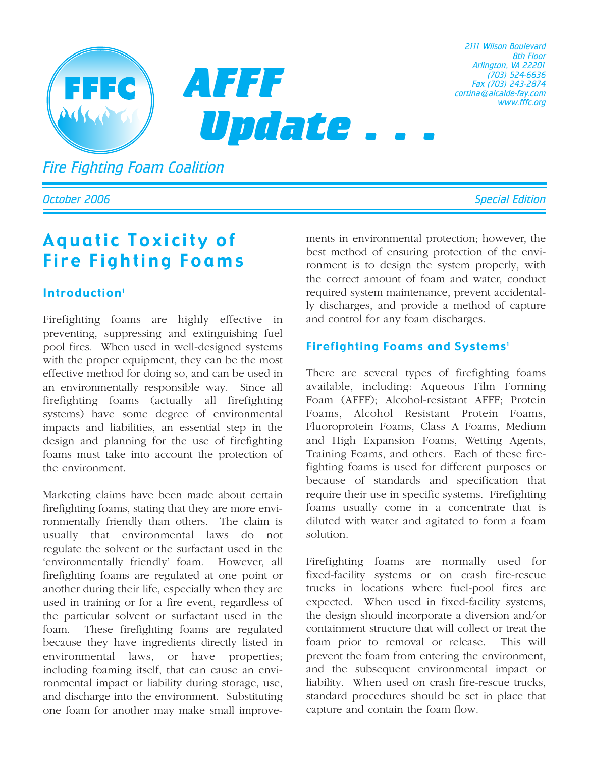

*2111 Wilson Boulevard 8th Floor Arlington, VA 22201 (703) 524-6636 Fax (703) 243-2874 cortina@alcalde-fay.com www.fffc.org*

*Fire Fighting Foam Coalition*

# Aquatic Toxicity of Fire Fighting Foams

### Introduction<sup>1</sup>

Firefighting foams are highly effective in preventing, suppressing and extinguishing fuel pool fires. When used in well-designed systems with the proper equipment, they can be the most effective method for doing so, and can be used in an environmentally responsible way. Since all firefighting foams (actually all firefighting systems) have some degree of environmental impacts and liabilities, an essential step in the design and planning for the use of firefighting foams must take into account the protection of the environment.

Marketing claims have been made about certain firefighting foams, stating that they are more environmentally friendly than others. The claim is usually that environmental laws do not regulate the solvent or the surfactant used in the 'environmentally friendly' foam. However, all firefighting foams are regulated at one point or another during their life, especially when they are used in training or for a fire event, regardless of the particular solvent or surfactant used in the foam. These firefighting foams are regulated because they have ingredients directly listed in environmental laws, or have properties; including foaming itself, that can cause an environmental impact or liability during storage, use, and discharge into the environment. Substituting one foam for another may make small improvements in environmental protection; however, the best method of ensuring protection of the environment is to design the system properly, with the correct amount of foam and water, conduct required system maintenance, prevent accidentally discharges, and provide a method of capture and control for any foam discharges.

### Firefighting Foams and Systems<sup>1</sup>

There are several types of firefighting foams available, including: Aqueous Film Forming Foam (AFFF); Alcohol-resistant AFFF; Protein Foams, Alcohol Resistant Protein Foams, Fluoroprotein Foams, Class A Foams, Medium and High Expansion Foams, Wetting Agents, Training Foams, and others. Each of these firefighting foams is used for different purposes or because of standards and specification that require their use in specific systems. Firefighting foams usually come in a concentrate that is diluted with water and agitated to form a foam solution.

Firefighting foams are normally used for fixed-facility systems or on crash fire-rescue trucks in locations where fuel-pool fires are expected. When used in fixed-facility systems, the design should incorporate a diversion and/or containment structure that will collect or treat the foam prior to removal or release. This will prevent the foam from entering the environment, and the subsequent environmental impact or liability. When used on crash fire-rescue trucks, standard procedures should be set in place that capture and contain the foam flow.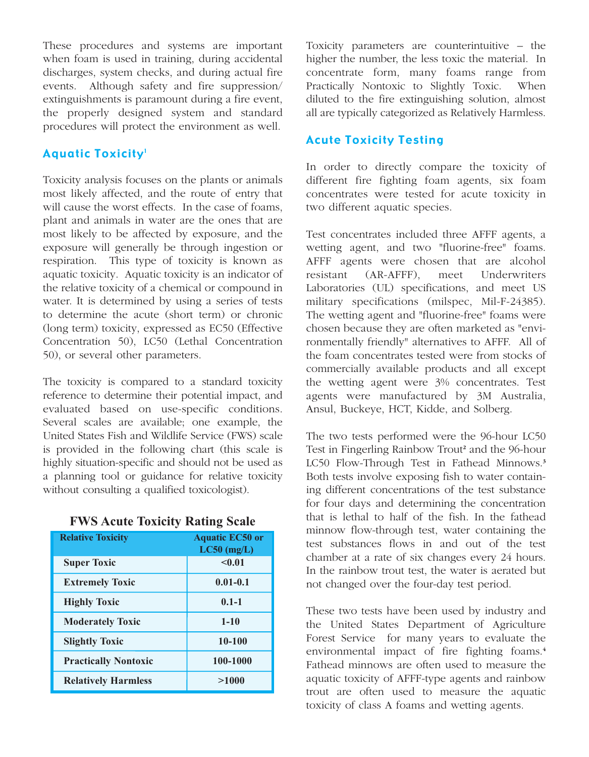These procedures and systems are important when foam is used in training, during accidental discharges, system checks, and during actual fire events. Although safety and fire suppression/ extinguishments is paramount during a fire event, the properly designed system and standard procedures will protect the environment as well.

#### **Aquatic Toxicity<sup>1</sup>**

Toxicity analysis focuses on the plants or animals most likely affected, and the route of entry that will cause the worst effects. In the case of foams, plant and animals in water are the ones that are most likely to be affected by exposure, and the exposure will generally be through ingestion or respiration. This type of toxicity is known as aquatic toxicity. Aquatic toxicity is an indicator of the relative toxicity of a chemical or compound in water. It is determined by using a series of tests to determine the acute (short term) or chronic (long term) toxicity, expressed as EC50 (Effective Concentration 50), LC50 (Lethal Concentration 50), or several other parameters.

The toxicity is compared to a standard toxicity reference to determine their potential impact, and evaluated based on use-specific conditions. Several scales are available; one example, the United States Fish and Wildlife Service (FWS) scale is provided in the following chart (this scale is highly situation-specific and should not be used as a planning tool or guidance for relative toxicity without consulting a qualified toxicologist).

| <b>Relative Toxicity</b>    | <b>Aquatic EC50 or</b><br>$LC50$ (mg/L) |
|-----------------------------|-----------------------------------------|
| <b>Super Toxic</b>          | < 0.01                                  |
| <b>Extremely Toxic</b>      | $0.01 - 0.1$                            |
| <b>Highly Toxic</b>         | $0.1 - 1$                               |
| <b>Moderately Toxic</b>     | $1 - 10$                                |
| <b>Slightly Toxic</b>       | 10-100                                  |
| <b>Practically Nontoxic</b> | 100-1000                                |
| <b>Relatively Harmless</b>  | >1000                                   |

| <b>FWS Acute Toxicity Rating Scale</b> |  |  |  |
|----------------------------------------|--|--|--|
|----------------------------------------|--|--|--|

Toxicity parameters are counterintuitive – the higher the number, the less toxic the material. In concentrate form, many foams range from Practically Nontoxic to Slightly Toxic. When diluted to the fire extinguishing solution, almost all are typically categorized as Relatively Harmless.

#### Acute Toxicity Testing

In order to directly compare the toxicity of different fire fighting foam agents, six foam concentrates were tested for acute toxicity in two different aquatic species.

Test concentrates included three AFFF agents, a wetting agent, and two "fluorine-free" foams. AFFF agents were chosen that are alcohol resistant (AR-AFFF), meet Underwriters Laboratories (UL) specifications, and meet US military specifications (milspec, Mil-F-24385). The wetting agent and "fluorine-free" foams were chosen because they are often marketed as "environmentally friendly" alternatives to AFFF. All of the foam concentrates tested were from stocks of commercially available products and all except the wetting agent were 3% concentrates. Test agents were manufactured by 3M Australia, Ansul, Buckeye, HCT, Kidde, and Solberg.

The two tests performed were the 96-hour LC50 Test in Fingerling Rainbow Trout**<sup>2</sup>** and the 96-hour LC50 Flow-Through Test in Fathead Minnows.**<sup>3</sup>** Both tests involve exposing fish to water containing different concentrations of the test substance for four days and determining the concentration that is lethal to half of the fish. In the fathead minnow flow-through test, water containing the test substances flows in and out of the test chamber at a rate of six changes every 24 hours. In the rainbow trout test, the water is aerated but not changed over the four-day test period.

These two tests have been used by industry and the United States Department of Agriculture Forest Service for many years to evaluate the environmental impact of fire fighting foams.**<sup>4</sup>** Fathead minnows are often used to measure the aquatic toxicity of AFFF-type agents and rainbow trout are often used to measure the aquatic toxicity of class A foams and wetting agents.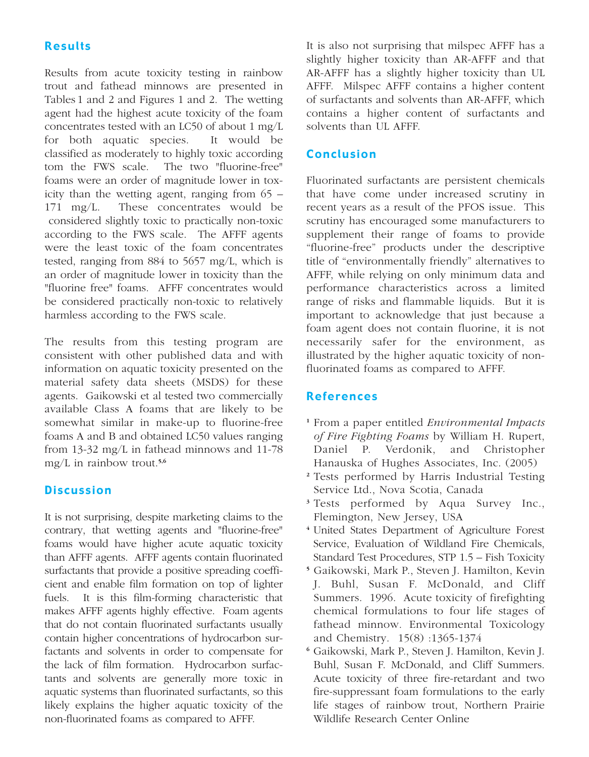## Results

Results from acute toxicity testing in rainbow trout and fathead minnows are presented in Tables 1 and 2 and Figures 1 and 2. The wetting agent had the highest acute toxicity of the foam concentrates tested with an LC50 of about 1 mg/L for both aquatic species. It would be classified as moderately to highly toxic according tom the FWS scale. The two "fluorine-free" foams were an order of magnitude lower in toxicity than the wetting agent, ranging from 65 – 171 mg/L. These concentrates would be considered slightly toxic to practically non-toxic according to the FWS scale. The AFFF agents were the least toxic of the foam concentrates tested, ranging from 884 to 5657 mg/L, which is an order of magnitude lower in toxicity than the "fluorine free" foams. AFFF concentrates would be considered practically non-toxic to relatively harmless according to the FWS scale.

The results from this testing program are consistent with other published data and with information on aquatic toxicity presented on the material safety data sheets (MSDS) for these agents. Gaikowski et al tested two commercially available Class A foams that are likely to be somewhat similar in make-up to fluorine-free foams A and B and obtained LC50 values ranging from 13-32 mg/L in fathead minnows and 11-78 mg/L in rainbow trout.**5,6**

#### **Discussion**

It is not surprising, despite marketing claims to the contrary, that wetting agents and "fluorine-free" foams would have higher acute aquatic toxicity than AFFF agents. AFFF agents contain fluorinated surfactants that provide a positive spreading coefficient and enable film formation on top of lighter fuels. It is this film-forming characteristic that makes AFFF agents highly effective. Foam agents that do not contain fluorinated surfactants usually contain higher concentrations of hydrocarbon surfactants and solvents in order to compensate for the lack of film formation. Hydrocarbon surfactants and solvents are generally more toxic in aquatic systems than fluorinated surfactants, so this likely explains the higher aquatic toxicity of the non-fluorinated foams as compared to AFFF.

It is also not surprising that milspec AFFF has a slightly higher toxicity than AR-AFFF and that AR-AFFF has a slightly higher toxicity than UL AFFF. Milspec AFFF contains a higher content of surfactants and solvents than AR-AFFF, which contains a higher content of surfactants and solvents than UL AFFF.

#### Conclusion

Fluorinated surfactants are persistent chemicals that have come under increased scrutiny in recent years as a result of the PFOS issue. This scrutiny has encouraged some manufacturers to supplement their range of foams to provide "fluorine-free" products under the descriptive title of "environmentally friendly" alternatives to AFFF, while relying on only minimum data and performance characteristics across a limited range of risks and flammable liquids. But it is important to acknowledge that just because a foam agent does not contain fluorine, it is not necessarily safer for the environment, as illustrated by the higher aquatic toxicity of nonfluorinated foams as compared to AFFF.

#### References

- **<sup>1</sup>** From a paper entitled *Environmental Impacts of Fire Fighting Foams* by William H. Rupert, Daniel P. Verdonik, and Christopher Hanauska of Hughes Associates, Inc. (2005)
- **<sup>2</sup>** Tests performed by Harris Industrial Testing Service Ltd., Nova Scotia, Canada
- **<sup>3</sup>** Tests performed by Aqua Survey Inc., Flemington, New Jersey, USA
- **<sup>4</sup>** United States Department of Agriculture Forest Service, Evaluation of Wildland Fire Chemicals, Standard Test Procedures, STP 1.5 – Fish Toxicity
- **<sup>5</sup>** Gaikowski, Mark P., Steven J. Hamilton, Kevin J. Buhl, Susan F. McDonald, and Cliff Summers. 1996. Acute toxicity of firefighting chemical formulations to four life stages of fathead minnow. Environmental Toxicology and Chemistry. 15(8) :1365-1374
- **<sup>6</sup>** Gaikowski, Mark P., Steven J. Hamilton, Kevin J. Buhl, Susan F. McDonald, and Cliff Summers. Acute toxicity of three fire-retardant and two fire-suppressant foam formulations to the early life stages of rainbow trout, Northern Prairie Wildlife Research Center Online